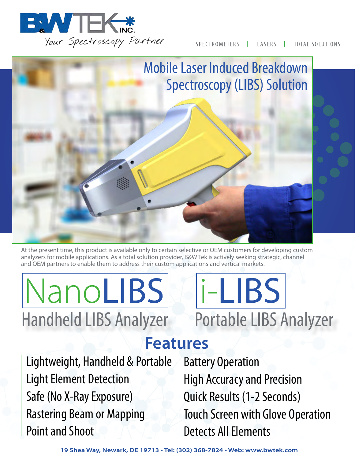



At the present time, this product is available only to certain selective or OEM customers for developing custom analyzers for mobile applications. As a total solution provider, B&W Tek is actively seeking strategic, channel and OEM partners to enable them to address their custom applications and vertical markets.

# NanoLIBS Handheld LIBS Analyzer Portable LIBS Analyzer



# **Features**

Lightweight, Handheld & Portable Light Element Detection Safe (No X-Ray Exposure) Rastering Beam or Mapping Point and Shoot

Battery Operation High Accuracy and Precision Quick Results (1-2 Seconds) Touch Screen with Glove Operation Detects All Elements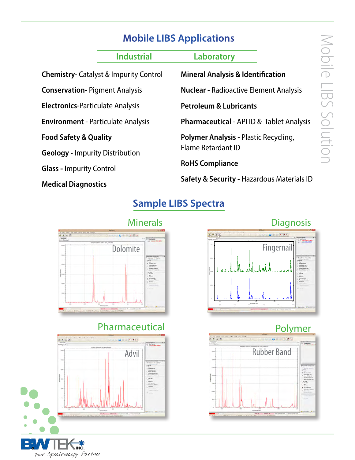# **Mobile LIBS Applications**

|                                                               | <b>Industrial</b> | Laboratory                                                                                                                                        |  |
|---------------------------------------------------------------|-------------------|---------------------------------------------------------------------------------------------------------------------------------------------------|--|
| <b>Chemistry-</b> Catalyst & Impurity Control                 |                   | <b>Mineral Analysis &amp; Identification</b>                                                                                                      |  |
| <b>Conservation-Pigment Analysis</b>                          |                   | <b>Nuclear - Radioactive Element Analysis</b>                                                                                                     |  |
| <b>Electronics-Particulate Analysis</b>                       |                   | <b>Petroleum &amp; Lubricants</b>                                                                                                                 |  |
| <b>Environment - Particulate Analysis</b>                     |                   | <b>Pharmaceutical - API ID &amp; Tablet Analysis</b>                                                                                              |  |
| <b>Food Safety &amp; Quality</b>                              |                   | <b>Polymer Analysis - Plastic Recycling,</b><br><b>Flame Retardant ID</b><br><b>RoHS Compliance</b><br>Safety & Security - Hazardous Materials ID |  |
| <b>Geology - Impurity Distribution</b>                        |                   |                                                                                                                                                   |  |
| <b>Glass - Impurity Control</b><br><b>Medical Diagnostics</b> |                   |                                                                                                                                                   |  |
|                                                               |                   |                                                                                                                                                   |  |

# **Sample LIBS Spectra**



# Pharmaceutical Polymer



 $\overline{\text{INC}}$ 

Your Spectroscopy Partner



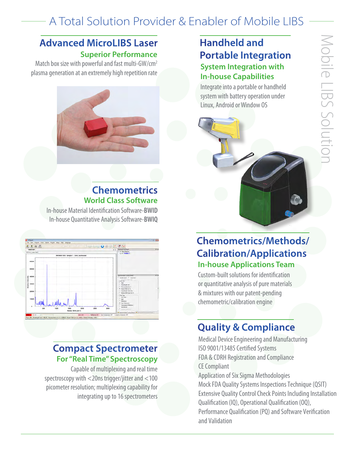# A Total Solution Provider & Enabler of Mobile LIBS

#### **Superior Performance Advanced MicroLIBS Laser**

Match box size with powerful and fast multi-GW/cm<sup>2</sup> plasma generation at an extremely high repetition rate



#### **World Class Software Chemometrics**

In-house Material Identification Software-**BWID** In-house Quantitative Analysis Software-**BWIQ**



#### **Compact Spectrometer For "Real Time" Spectroscopy**

Capable of multiplexing and real time spectroscopy with <20ns trigger/jitter and <100 picometer resolution; multiplexing capability for integrating up to 16 spectrometers

#### **System Integration with In-house Capabilities Handheld and Portable Integration**

Integrate into a portable or handheld system with battery operation under Linux, Android or Window OS



#### **In-house Applications Team Chemometrics/Methods/ Calibration/Applications**

Custom-built solutions for identification or quantitative analysis of pure materials & mixtures with our patent-pending chemometric/calibration engine

# **Quality & Compliance**

Medical Device Engineering and Manufacturing ISO 9001/13485 Certified Systems FDA & CDRH Registration and Compliance CE Compliant

Application of Six Sigma Methodologies Mock FDA Quality Systems Inspections Technique (QSIT) Extensive Quality Control Check Points Including Installation Qualification (IQ), Operational Qualification (OQ), Performance Qualification (PQ) and Software Verification and Validation